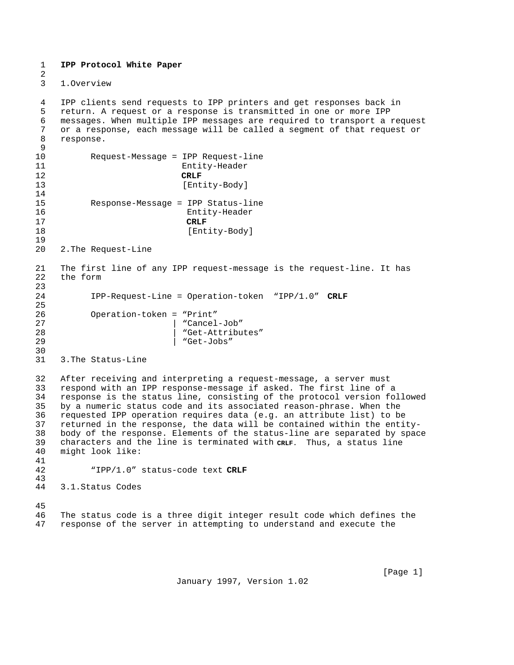**IPP Protocol White Paper**

1. Overview

 $\mathcal{L}$ 

4 IPP clients send requests to IPP printers and get responses back in<br>5 return. A request or a response is transmitted in one or more IPP return. A request or a response is transmitted in one or more IPP messages. When multiple IPP messages are required to transport a request or a response, each message will be called a segment of that request or response.  $\begin{array}{c} 9 \\ 10 \end{array}$ Request-Message = IPP Request-line 11 Entity-Header **CRLF** 13 [Entity-Body] Response-Message = IPP Status-line 16 Entity-Header **CRLF** 18 [Entity-Body] 2. The Request-Line The first line of any IPP request-message is the request-line. It has the form IPP-Request-Line = Operation-token "IPP/1.0" **CRLF** Operation-token = "Print" 27 | "Cancel-Job" "Get-Attributes" 29 | "Get-Jobs" 30<br>31 3. The Status-Line After receiving and interpreting a request-message, a server must respond with an IPP response-message if asked. The first line of a response is the status line, consisting of the protocol version followed by a numeric status code and its associated reason-phrase. When the requested IPP operation requires data (e.g. an attribute list) to be returned in the response, the data will be contained within the entitybody of the response. Elements of the status-line are separated by space characters and the line is terminated with **CRLF.** Thus, a status line might look like: "IPP/1.0" status-code text **CRLF** 3.1. Status Codes The status code is a three digit integer result code which defines the response of the server in attempting to understand and execute the

January 1997, Version 1.02

[Page 1]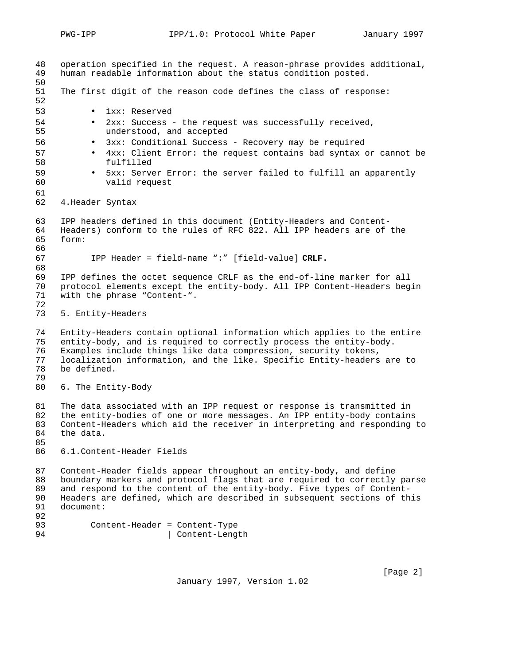| 48<br>49<br>50                   | operation specified in the request. A reason-phrase provides additional,<br>human readable information about the status condition posted.                                                                                                                                                                       |  |  |
|----------------------------------|-----------------------------------------------------------------------------------------------------------------------------------------------------------------------------------------------------------------------------------------------------------------------------------------------------------------|--|--|
| 51<br>52                         | The first digit of the reason code defines the class of response:                                                                                                                                                                                                                                               |  |  |
| 53                               | 1xx: Reserved                                                                                                                                                                                                                                                                                                   |  |  |
| 54<br>55                         | 2xx: Success - the request was successfully received,<br>$\bullet$<br>understood, and accepted                                                                                                                                                                                                                  |  |  |
| 56                               | 3xx: Conditional Success - Recovery may be required<br>$\bullet$                                                                                                                                                                                                                                                |  |  |
| 57<br>58                         | 4xx: Client Error: the request contains bad syntax or cannot be<br>$\bullet$<br>fulfilled                                                                                                                                                                                                                       |  |  |
| 59<br>60                         | 5xx: Server Error: the server failed to fulfill an apparently<br>valid request                                                                                                                                                                                                                                  |  |  |
| 61<br>62                         | 4. Header Syntax                                                                                                                                                                                                                                                                                                |  |  |
| 63<br>64<br>65<br>66             | IPP headers defined in this document (Entity-Headers and Content-<br>Headers) conform to the rules of RFC 822. All IPP headers are of the<br>form:                                                                                                                                                              |  |  |
| 67<br>68                         | IPP Header = field-name ":" [field-value] CRLF.                                                                                                                                                                                                                                                                 |  |  |
| 69<br>70<br>71<br>72             | IPP defines the octet sequence CRLF as the end-of-line marker for all<br>protocol elements except the entity-body. All IPP Content-Headers begin<br>with the phrase "Content-".                                                                                                                                 |  |  |
| 73                               | 5. Entity-Headers                                                                                                                                                                                                                                                                                               |  |  |
| 74<br>75<br>76<br>77<br>78<br>79 | Entity-Headers contain optional information which applies to the entire<br>entity-body, and is required to correctly process the entity-body.<br>Examples include things like data compression, security tokens,<br>localization information, and the like. Specific Entity-headers are to<br>be defined.       |  |  |
| 80                               | 6. The Entity-Body                                                                                                                                                                                                                                                                                              |  |  |
| 81<br>82<br>83<br>84<br>85       | The data associated with an IPP request or response is transmitted in<br>the entity-bodies of one or more messages. An IPP entity-body contains<br>Content-Headers which aid the receiver in interpreting and responding to<br>the data.                                                                        |  |  |
| 86                               | 6.1. Content-Header Fields                                                                                                                                                                                                                                                                                      |  |  |
| 87<br>88<br>89<br>90<br>91       | Content-Header fields appear throughout an entity-body, and define<br>boundary markers and protocol flags that are required to correctly parse<br>and respond to the content of the entity-body. Five types of Content-<br>Headers are defined, which are described in subsequent sections of this<br>document: |  |  |
| 92<br>93<br>94                   | Content-Header = Content-Type<br>Content-Length                                                                                                                                                                                                                                                                 |  |  |

January 1997, Version 1.02

[Page 2]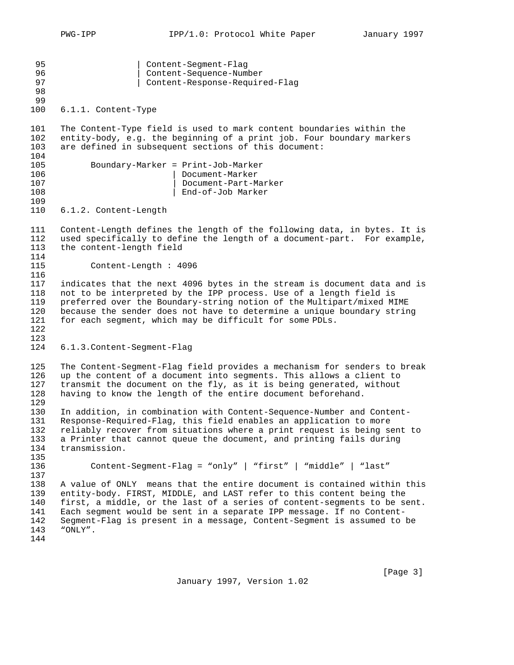95 | Content-Segment-Flag 96 | Content-Sequence-Number<br>| Content-Response-Requir 97 | Content-Response-Required-Flag 6.1.1.Content-Type 101 The Content-Type field is used to mark content boundaries within the<br>102 entity-body, e.g. the beginning of a print job. Four boundary markers 102 entity-body, e.g. the beginning of a print job. Four boundary markers<br>103 are defined in subsequent sections of this document: are defined in subsequent sections of this document: 104<br>105 Boundary-Marker = Print-Job-Marker 106 | Document-Marker 107 | Document-Part-Marker 108 | End-of-Job Marker 110 6.1.2. Content-Length Content-Length defines the length of the following data, in bytes. It is used specifically to define the length of a document-part. For example, the content-length field Content-Length : 4096 indicates that the next 4096 bytes in the stream is document data and is not to be interpreted by the IPP process. Use of a length field is 119 preferred over the Boundary-string notion of the Multipart/mixed MIME<br>120 because the sender does not have to determine a unique boundary strin because the sender does not have to determine a unique boundary string for each segment, which may be difficult for some PDLs. 6.1.3. Content-Segment-Flag The Content-Segment-Flag field provides a mechanism for senders to break up the content of a document into segments. This allows a client to transmit the document on the fly, as it is being generated, without having to know the length of the entire document beforehand. In addition, in combination with Content-Sequence-Number and Content- Response-Required-Flag, this field enables an application to more reliably recover from situations where a print request is being sent to a Printer that cannot queue the document, and printing fails during transmission. 135<br>136 Content-Segment-Flag = "only" | "first" | "middle" | "last" A value of ONLY means that the entire document is contained within this entity-body. FIRST, MIDDLE, and LAST refer to this content being the first, a middle, or the last of a series of content-segments to be sent. Each segment would be sent in a separate IPP message. If no Content- Segment-Flag is present in a message, Content-Segment is assumed to be "ONLY".

January 1997, Version 1.02

[Page 3]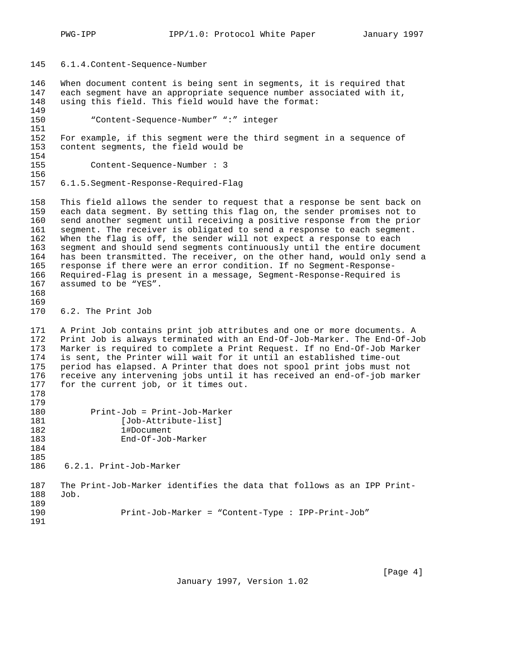- 6.1.4. Content-Sequence-Number
- When document content is being sent in segments, it is required that each segment have an appropriate sequence number associated with it, using this field. This field would have the format:

 "Content-Sequence-Number" ":" integer 151<br>152 For example, if this segment were the third segment in a sequence of content segments, the field would be 154<br>155 Content-Sequence-Number : 3

- -
- 6.1.5. Segment-Response-Required-Flag

 This field allows the sender to request that a response be sent back on each data segment. By setting this flag on, the sender promises not to send another segment until receiving a positive response from the prior segment. The receiver is obligated to send a response to each segment. When the flag is off, the sender will not expect a response to each segment and should send segments continuously until the entire document has been transmitted. The receiver, on the other hand, would only send a response if there were an error condition. If no Segment-Response-166 Required-Flag is present in a message, Segment-Response-Required is 167 assumed to be "YES". assumed to be "YES".

169<br>170 6.2. The Print Job

 A Print Job contains print job attributes and one or more documents. A Print Job is always terminated with an End-Of-Job-Marker. The End-Of-Job Marker is required to complete a Print Request. If no End-Of-Job Marker is sent, the Printer will wait for it until an established time-out period has elapsed. A Printer that does not spool print jobs must not 176 receive any intervening jobs until it has received an end-of-job marker<br>177 for the current job, or it times out. for the current job, or it times out. 

| Print-Job = Print-Job-Marker |
|------------------------------|
| [Job-Attribute-list]         |
|                              |
|                              |
|                              |

6.2.1.Print-Job-Marker

```
187 The Print-Job-Marker identifies the data that follows as an IPP Print-
188 Job.
189<br>190
                  190 Print-Job-Marker = "Content-Type : IPP-Print-Job"
```
 

January 1997, Version 1.02

[Page 4]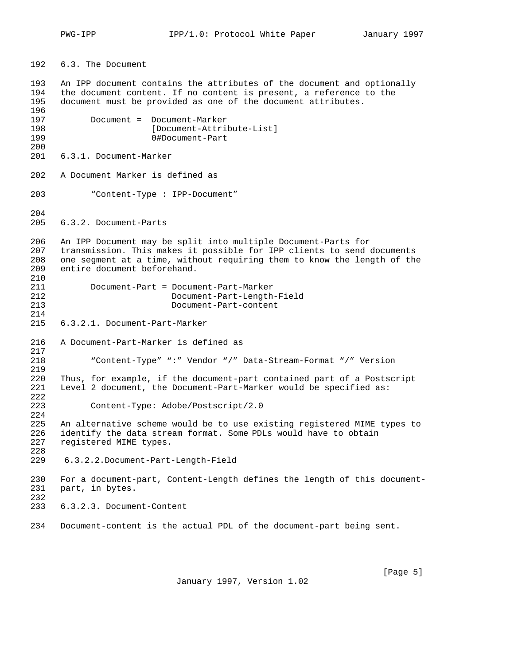6.3.The Document

 An IPP document contains the attributes of the document and optionally the document content. If no content is present, a reference to the document must be provided as one of the document attributes. Document = Document-Marker 198 [Document-Attribute-List]<br>199 0#Document-Part 0#Document-Part 6.3.1.Document-Marker A Document Marker is defined as "Content-Type : IPP-Document" 6.3.2.Document-Parts An IPP Document may be split into multiple Document-Parts for transmission. This makes it possible for IPP clients to send documents 208 one segment at a time, without requiring them to know the length of the 209 entire document beforehand. entire document beforehand. Document-Part = Document-Part-Marker 212 Document-Part-Length-Field 213 Document-Part-content 6.3.2.1.Document-Part-Marker A Document-Part-Marker is defined as "Content-Type" ":" Vendor "/" Data-Stream-Format "/" Version Thus, for example, if the document-part contained part of a Postscript Level 2 document, the Document-Part-Marker would be specified as: Content-Type: Adobe/Postscript/2.0 224<br>225 An alternative scheme would be to use existing registered MIME types to 226 identify the data stream format. Some PDLs would have to obtain 227 registered MIME types. registered MIME types. 6.3.2.2. Document-Part-Length-Field For a document-part, Content-Length defines the length of this document- part, in bytes. 6.3.2.3.Document-Content Document-content is the actual PDL of the document-part being sent.

January 1997, Version 1.02

[Page 5]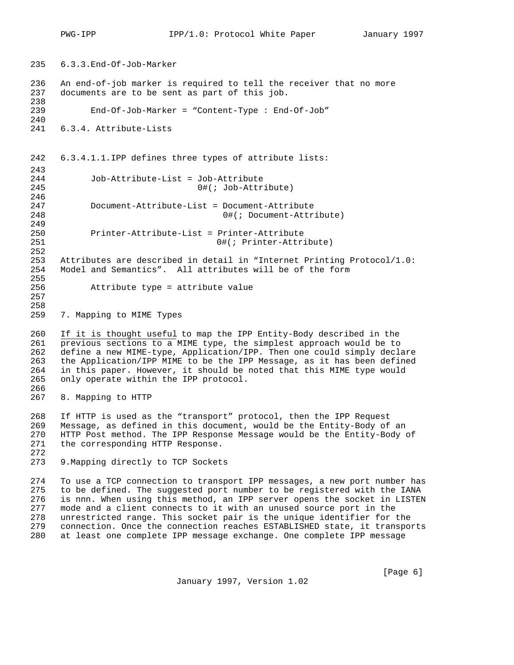235 6.3.3. End-Of-Job-Marker 236 An end-of-job marker is required to tell the receiver that no more 237 documents are to be sent as part of this job. 238 239 End-Of-Job-Marker = "Content-Type : End-Of-Job" 240 241 6.3.4.Attribute-Lists 242 6.3.4.1.1. IPP defines three types of attribute lists: 243<br>244 Job-Attribute-List = Job-Attribute 245 0#(; Job-Attribute) 246 247 Document-Attribute-List = Document-Attribute 248 0#(; Document-Attribute) 249 250 Printer-Attribute-List = Printer-Attribute 251 0#(; Printer-Attribute) 252 253 Attributes are described in detail in "Internet Printing Protocol/1.0:<br>254 Model and Semantics". All attributes will be of the form Model and Semantics". All attributes will be of the form 255 256 Attribute type = attribute value 257 258<br>259 7. Mapping to MIME Types

260 If it is thought useful to map the IPP Entity-Body described in the 261 previous sections to a MIME type, the simplest approach would be to 262 define a new MIME-type, Application/IPP. Then one could simply declare 263 the Application/IPP MIME to be the IPP Message, as it has been defined<br>264 in this paper. However, it should be noted that this MIME type would in this paper. However, it should be noted that this MIME type would 265 only operate within the IPP protocol. 266

267 8.Mapping to HTTP

268 If HTTP is used as the "transport" protocol, then the IPP Request<br>269 Message, as defined in this document, would be the Entity-Body of Message, as defined in this document, would be the Entity-Body of an 270 HTTP Post method. The IPP Response Message would be the Entity-Body of 271 the corresponding HTTP Response.

272

273 9. Mapping directly to TCP Sockets

274 To use a TCP connection to transport IPP messages, a new port number has 275 to be defined. The suggested port number to be registered with the IANA 276 is nnn. When using this method, an IPP server opens the socket in LISTEN<br>277 mode and a client connects to it with an unused source port in the mode and a client connects to it with an unused source port in the 278 unrestricted range. This socket pair is the unique identifier for the<br>279 connection. Once the connection reaches ESTABLISHED state, it transpor connection. Once the connection reaches ESTABLISHED state, it transports 280 at least one complete IPP message exchange. One complete IPP message

January 1997, Version 1.02

[Page 6]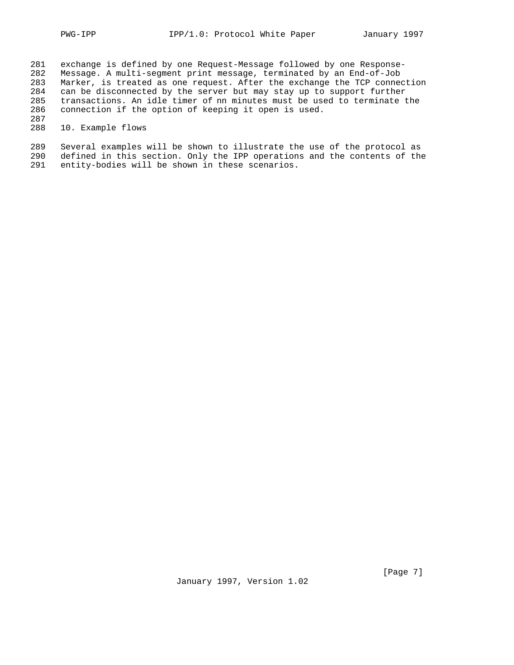281 exchange is defined by one Request-Message followed by one Response-282 Message. A multi-segment print message, terminated by an End-of-Job 283 Marker, is treated as one request. After the exchange the TCP connection<br>284 can be disconnected by the server but may stay up to support further can be disconnected by the server but may stay up to support further 285 transactions. An idle timer of nn minutes must be used to terminate the 286 connection if the option of keeping it open is used. connection if the option of keeping it open is used.

287<br>288 10. Example flows

289 Several examples will be shown to illustrate the use of the protocol as 290 defined in this section. Only the IPP operations and the contents of the 291 entity-bodies will be shown in these scenarios. entity-bodies will be shown in these scenarios.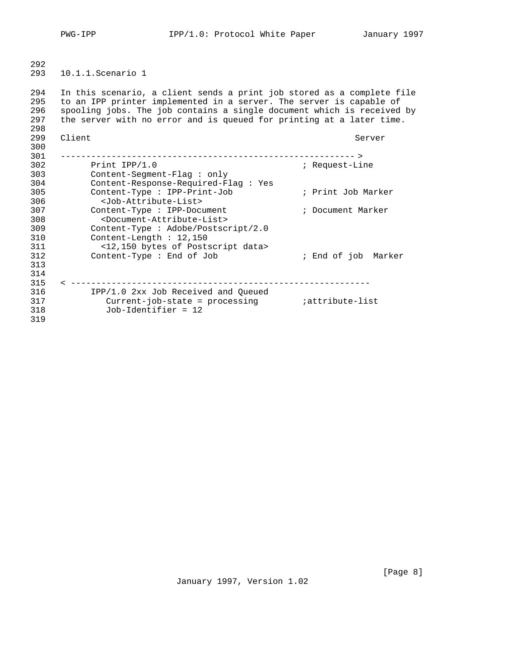292 293 10.1.1. Scenario 1

294 In this scenario, a client sends a print job stored as a complete file 295 to an IPP printer implemented in a server. The server is capable of 296 spooling jobs. The job contains a single document which is received by<br>297 the server with no error and is queued for printing at a later time. the server with no error and is queued for printing at a later time. 298<br>299 299 Client Server Server Server Server Server Server Server Server Server Server Server Server Server Server Server Server Server Server Server Server Server Server Server Server Server Server Server Server Server Server S 300 301 ---------------------------------------------------------- > Print IPP/1.0  $\qquad \qquad ;$  Request-Line 303 Content-Segment-Flag : only<br>304 Content-Response-Required-Flag 304 Content-Response-Required-Flag : Yes 305 Content-Type : IPP-Print-Job ; Print Job Marker 306 <Job-Attribute-List> 307 Content-Type : IPP-Document ; Document Marker 308 <Document-Attribute-List> 309 Content-Type : Adobe/Postscript/2.0 310 Content-Length : 12,150 311 <12,150 bytes of Postscript data> 312 Content-Type : End of Job ; End of job Marker 313 314 315 < ----------------------------------------------------------- 316 IPP/1.0 2xx Job Received and Queued 317 Current-job-state = processing ;attribute-list 318 Job-Identifier = 12 319

January 1997, Version 1.02

[Page 8]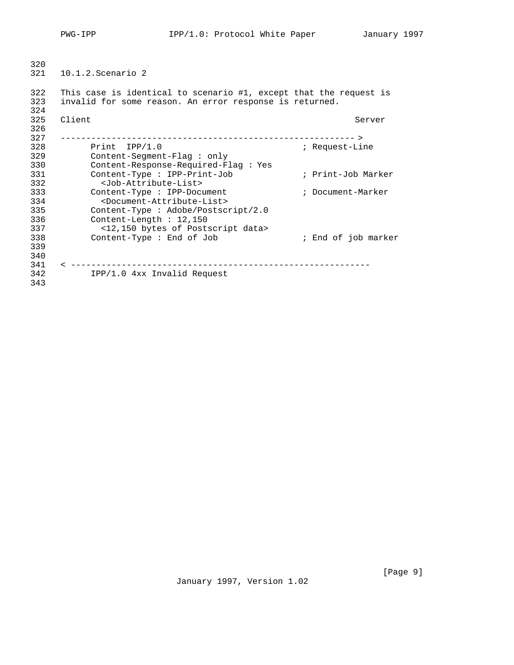PWG-IPP 1997 IPP/1.0: Protocol White Paper January 1997

320<br>321 321 10.1.2. Scenario 2

322 This case is identical to scenario #1, except that the request is<br>323 invalid for some reason. An error response is returned. invalid for some reason. An error response is returned. 324

| Client                                              | Server              |
|-----------------------------------------------------|---------------------|
|                                                     |                     |
| ------------                                        |                     |
| $Print$ $IPP/1.0$                                   | ; Request-Line      |
| $Content-Sequence-Flag: only$                       |                     |
| Content-Response-Required-Flaq: Yes                 |                     |
| Content-Type : IPP-Print-Job                        | ; Print-Job Marker  |
| <job-attribute-list></job-attribute-list>           |                     |
| Content-Type : IPP-Document                         | ; Document-Marker   |
| <document-attribute-list></document-attribute-list> |                     |
| Content-Type : Adobe/Postscript/2.0                 |                     |
| Content-Length $: 12,150$                           |                     |
| <12,150 bytes of Postscript data>                   |                     |
| Content-Type : End of Job                           | ; End of job marker |
|                                                     |                     |
|                                                     |                     |
|                                                     |                     |
| $IPP/1.0$ 4xx Invalid Request                       |                     |
|                                                     |                     |
|                                                     |                     |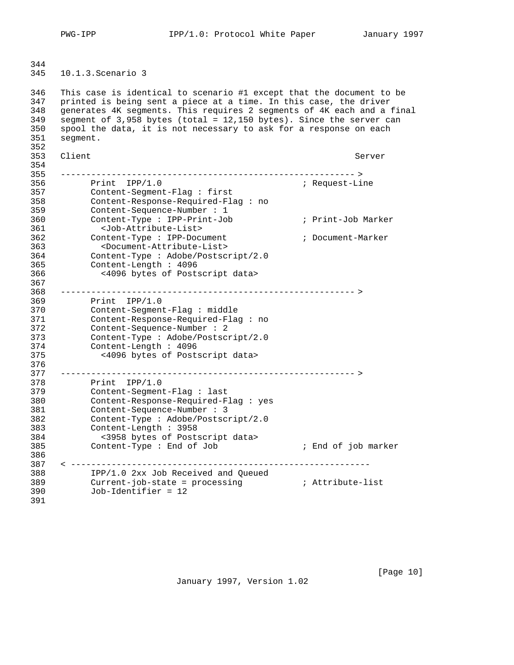PWG-IPP **IPP/1.0:** Protocol White Paper January 1997

 10.1.3. Scenario 3

 This case is identical to scenario #1 except that the document to be printed is being sent a piece at a time. In this case, the driver generates 4K segments. This requires 2 segments of 4K each and a final segment of 3,958 bytes (total = 12,150 bytes). Since the server can spool the data, it is not necessary to ask for a response on each segment. 353 Client Server Server Server Server Server Server Server Server Server Server Server Server Server Server Server ---------------------------------------------------------- > 356 Print IPP/1.0 ; Request-Line Content-Segment-Flag : first Content-Response-Required-Flag : no Content-Sequence-Number : 1 Content-Type : IPP-Print-Job ; Print-Job Marker 361 <Job-Attribute-List> 362 Content-Type : IPP-Document<br>363 <br/>
<br/>Document-Attribute-List><br>363 <br/>
<br/>
<br/>
<br/>
<br/>
<br/>
<br/>
<br/>
<br/>
<br/>
<br/>
<br/>
<br/>
<br/>
<br/>
<br/>
<br/>
<br/>
<br/>
<br/>
<br/>
<br/>
<br/>
<br/>
<b 363 <Document-Attribute-List> Content-Type : Adobe/Postscript/2.0 Content-Length : 4096 366 <4096 bytes of Postscript data> ---------------------------------------------------------- > 369 Print IPP/1.0 Content-Segment-Flag : middle Content-Response-Required-Flag : no Content-Sequence-Number : 2 Content-Type : Adobe/Postscript/2.0 Content-Length : 4096 375 <4096 bytes of Postscript data> ---------------------------------------------------------- > 378 Print IPP/1.0 Content-Segment-Flag : last Content-Response-Required-Flag : yes Content-Sequence-Number : 3 Content-Type : Adobe/Postscript/2.0 Content-Length : 3958 384 <3958 bytes of Postscript data> 385 Content-Type : End of Job ; End of job marker < ----------------------------------------------------------- IPP/1.0 2xx Job Received and Queued Current-job-state = processing ; Attribute-list Job-Identifier = 12 

January 1997, Version 1.02

[Page 10]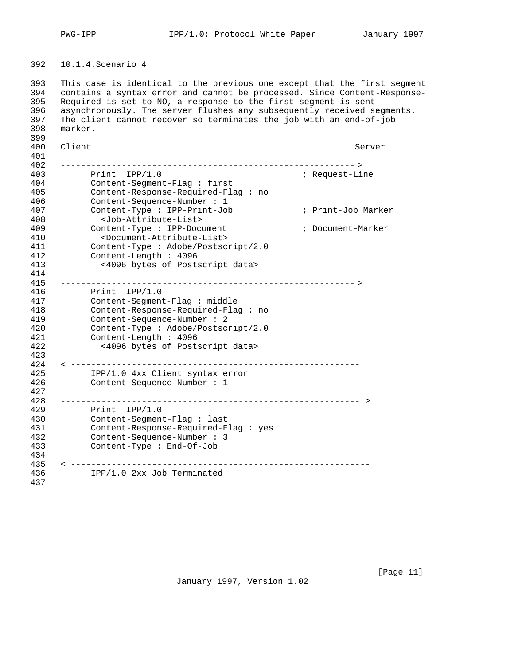10.1.4. Scenario 4

 This case is identical to the previous one except that the first segment contains a syntax error and cannot be processed. Since Content-Response- Required is set to NO, a response to the first segment is sent asynchronously. The server flushes any subsequently received segments. The client cannot recover so terminates the job with an end-of-job marker. 399<br>400 400 Client Server Server Server Server Server Server Server Server Server Server Server Server Server Server Server Server Server Server Server Server Server Server Server Server Server Server Server Server Server Server S ---------------------------------------------------------- > 403 Print IPP/1.0<br>404 Content-Segment-Flag : first 704 (Content-Segment-Flag : first Content-Segment-Flag : first Content-Response-Required-Flag : no Content-Sequence-Number : 1 Content-Type : IPP-Print-Job ; Print-Job Marker 408 <Job-Attribute-List> 409 Content-Type : IPP-Document ; Document-Marker 410 <Document-Attribute-List> 411 Content-Type : Adobe/Postscript/2.0<br>412 Content-Length : 4096 Content-Length : 4096 413 <4096 bytes of Postscript data> ---------------------------------------------------------- > 416 Print IPP/1.0 Content-Segment-Flag : middle Content-Response-Required-Flag : no Content-Sequence-Number : 2 420 Content-Type : Adobe/Postscript/2.0<br>421 Content-Length : 4096 Content-Length : 4096 422 <4096 bytes of Postscript data> < --------------------------------------------------------- IPP/1.0 4xx Client syntax error Content-Sequence-Number : 1 ----------------------------------------------------------- > 429 Print IPP/1.0 Content-Segment-Flag : last Content-Response-Required-Flag : yes Content-Sequence-Number : 3 Content-Type : End-Of-Job < ----------------------------------------------------------- IPP/1.0 2xx Job Terminated 

January 1997, Version 1.02

[Page 11]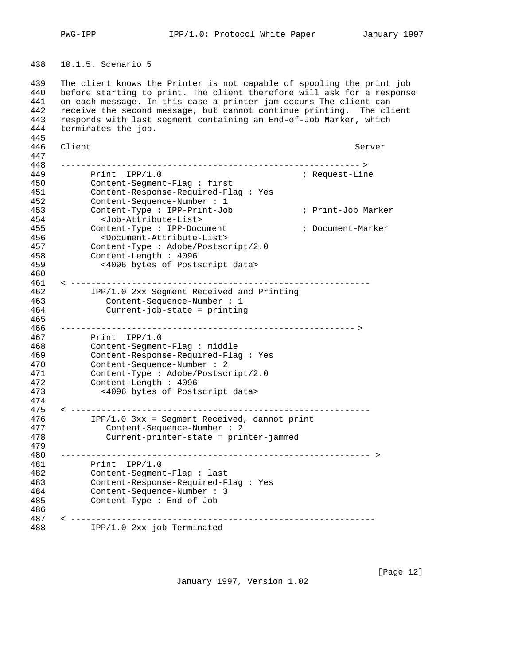10.1.5.Scenario 5

439 The client knows the Printer is not capable of spooling the print job<br>440 before starting to print. The client therefore will ask for a response before starting to print. The client therefore will ask for a response on each message. In this case a printer jam occurs The client can receive the second message, but cannot continue printing. The client responds with last segment containing an End-of-Job Marker, which terminates the job. 445<br>446 Client Server ----------------------------------------------------------- > 449 Print IPP/1.0 ; Request-Line Content-Segment-Flag : first Content-Response-Required-Flag : Yes Content-Sequence-Number : 1 Content-Type : IPP-Print-Job ; Print-Job Marker 454 <Job-Attribute-List> 455 Content-Type : IPP-Document ; Document-Marker 456 <Document-Attribute-List> Content-Type : Adobe/Postscript/2.0 Content-Length : 4096 459 <4096 bytes of Postscript data> < ----------------------------------------------------------- IPP/1.0 2xx Segment Received and Printing 463 Content-Sequence-Number : 1 464 Current-job-state = printing ---------------------------------------------------------- > 467 Print IPP/1.0<br>468 Content-Segment Content-Segment-Flag : middle Content-Response-Required-Flag : Yes Content-Sequence-Number : 2 Content-Type : Adobe/Postscript/2.0 Content-Length : 4096 473 <4096 bytes of Postscript data> < ----------------------------------------------------------- IPP/1.0 3xx = Segment Received, cannot print 477 Content-Sequence-Number : 2 478 Current-printer-state = printer-jammed ------------------------------------------------------------- > Print IPP/1.0 Content-Segment-Flag : last Content-Response-Required-Flag : Yes Content-Sequence-Number : 3 Content-Type : End of Job < ------------------------------------------------------------ IPP/1.0 2xx job Terminated

January 1997, Version 1.02

[Page 12]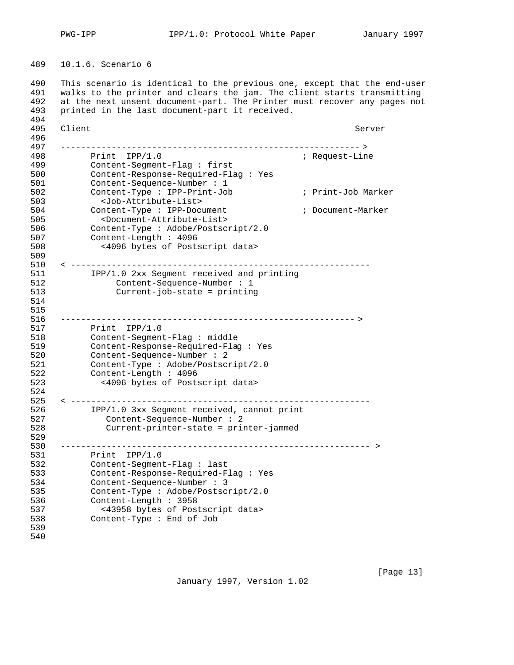10.1.6.Scenario 6

 This scenario is identical to the previous one, except that the end-user walks to the printer and clears the jam. The client starts transmitting at the next unsent document-part. The Printer must recover any pages not printed in the last document-part it received. 495 Client Server Server Server Server Server Server Server Server Server Server Server Server Server Server Server Server Server Server Server Server Server Server Server Server Server Server Server Server Server Server S 496<br>497 ----------------------------------------------------------- > 498 Print IPP/1.0<br>499 Content-Segment-Flag : first and the Request-Line Content-Segment-Flag : first Content-Response-Required-Flag : Yes Content-Sequence-Number : 1 Content-Type : IPP-Print-Job ; Print-Job Marker 503 <Job-Attribute-List> 504 Content-Type : IPP-Document ; Document-Marker 505 <Document-Attribute-List> Content-Type : Adobe/Postscript/2.0 Content-Length : 4096 508 <4096 bytes of Postscript data> < ----------------------------------------------------------- IPP/1.0 2xx Segment received and printing 512 Content-Sequence-Number : 1 513 Current-job-state = printing ---------------------------------------------------------- > Print IPP/1.0 518 Content-Segment-Flag : middle<br>519 Content-Response-Required-Flag 519 Content-Response-Required-Flag : Yes<br>520 Content-Sequence-Number : 2 Content-Sequence-Number : 2 Content-Type : Adobe/Postscript/2.0 Content-Length : 4096 523 <4096 bytes of Postscript data> < ----------------------------------------------------------- IPP/1.0 3xx Segment received, cannot print 527 Content-Sequence-Number : 2 528 Current-printer-state = printer-jammed 529<br>530 ------------------------------------------------------------- > Print IPP/1.0 Content-Segment-Flag : last Content-Response-Required-Flag : Yes Content-Sequence-Number : 3 Content-Type : Adobe/Postscript/2.0 Content-Length : 3958 537 <43958 bytes of Postscript data> Content-Type : End of Job 

January 1997, Version 1.02

[Page 13]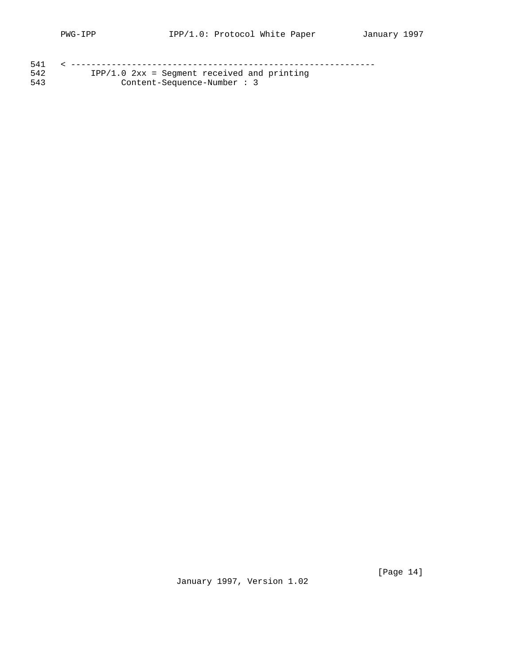| 542 | $IPP/1.0$ $2xx =$ Seqment received and printing |
|-----|-------------------------------------------------|
| 543 | $Content-Sequence-Number: 3$                    |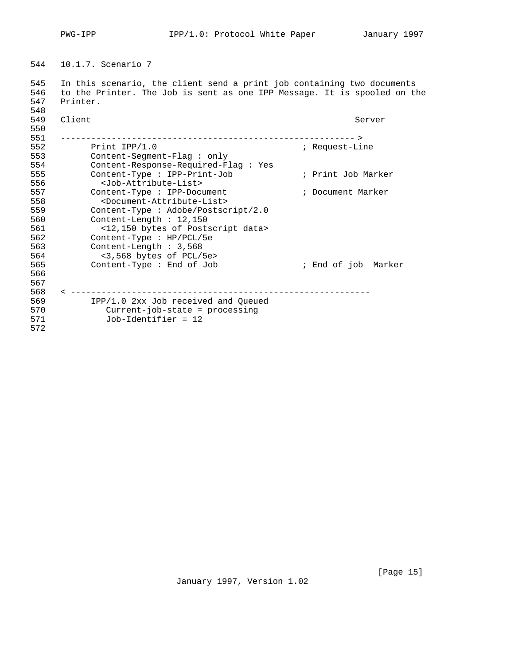10.1.7.Scenario 7

 In this scenario, the client send a print job containing two documents to the Printer. The Job is sent as one IPP Message. It is spooled on the Printer. 

| 549 | Client                                              | Server              |
|-----|-----------------------------------------------------|---------------------|
| 550 |                                                     |                     |
| 551 |                                                     |                     |
| 552 | Print $IPP/1.0$                                     | ; Request-Line      |
| 553 | $Content-Segment-Flag: only$                        |                     |
| 554 | Content-Response-Required-Flag : Yes                |                     |
| 555 | Content-Type : IPP-Print-Job                        | ; Print Job Marker  |
| 556 | <job-attribute-list></job-attribute-list>           |                     |
| 557 | Content-Type : IPP-Document                         | ; Document Marker   |
| 558 | <document-attribute-list></document-attribute-list> |                     |
| 559 | Content-Type : Adobe/Postscript/2.0                 |                     |
| 560 | Content-Length $: 12,150$                           |                     |
| 561 | <12,150 bytes of Postscript data>                   |                     |
| 562 | Content-Type : $HP/PCL/5e$                          |                     |
| 563 | Content-Length: 3,568                               |                     |
| 564 | $<$ 3,568 bytes of PCL/5e>                          |                     |
| 565 | Content-Type : End of Job                           | ; End of job Marker |
| 566 |                                                     |                     |
| 567 |                                                     |                     |
| 568 |                                                     |                     |
| 569 | IPP/1.0 2xx Job received and Queued                 |                     |
| 570 | $Current-job-state = processing$                    |                     |
| 571 | $Job-Identifier = 12$                               |                     |
| 572 |                                                     |                     |

January 1997, Version 1.02

[Page 15]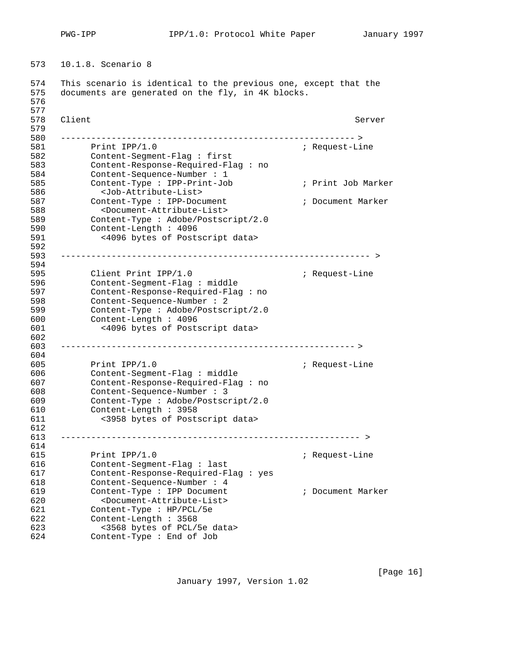PWG-IPP **IPP/1.0:** Protocol White Paper January 1997

10.1.8.Scenario 8

574 This scenario is identical to the previous one, except that the<br>575 documents are generated on the fly, in 4K blocks. documents are generated on the fly, in 4K blocks. 

 578 Client Server Server Server Server Server Server Server Server Server Server Server Server Server Server Server Server Server Server Server Server Server Server Server Server Server Server Server Server Server Server S 579<br>580 ---------------------------------------------------------- > ; Request-Line Content-Segment-Flag : first Content-Response-Required-Flag : no Content-Sequence-Number : 1 Content-Type : IPP-Print-Job ; Print Job Marker 586 <Job-Attribute-List> 587 Content-Type : IPP-Document ; Document Marker 588 <Document-Attribute-List> Content-Type : Adobe/Postscript/2.0 Content-Length : 4096 591 <4096 bytes of Postscript data> 592<br>593 ------------------------------------------------------------- > 594<br>595 595 Client Print IPP/1.0 (a) in Request-Line Content-Segment-Flag : middle Content-Response-Required-Flag : no Content-Sequence-Number : 2 Content-Type : Adobe/Postscript/2.0 Content-Length : 4096 601 <4096 bytes of Postscript data> 602<br>603 ---------------------------------------------------------- > Print IPP/1.0 ; Request-Line Content-Segment-Flag : middle Content-Response-Required-Flag : no Content-Sequence-Number : 3 Content-Type : Adobe/Postscript/2.0 Content-Length : 3958 611 <3958 bytes of Postscript data> ----------------------------------------------------------- > Print IPP/1.0 ; Request-Line Content-Segment-Flag : last Content-Response-Required-Flag : yes Content-Sequence-Number : 4 Content-Type : IPP Document ; Document Marker 620 <Document-Attribute-List> Content-Type : HP/PCL/5e Content-Length : 3568 623 <3568 bytes of PCL/5e data> Content-Type : End of Job

January 1997, Version 1.02

[Page 16]